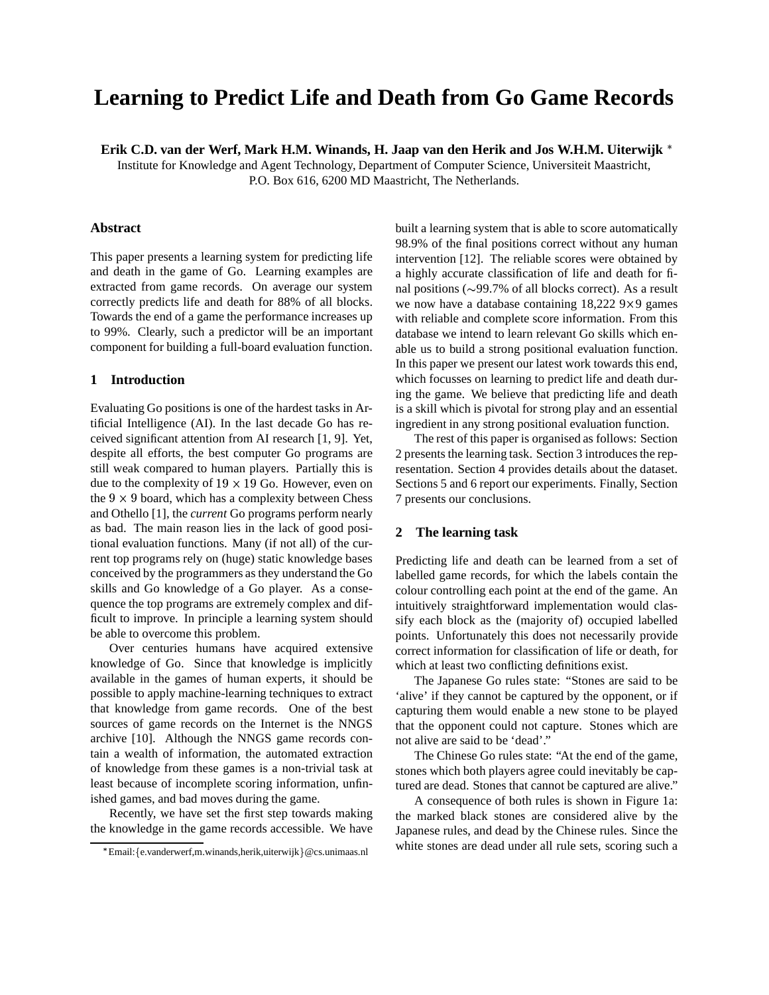# **Learning to Predict Life and Death from Go Game Records**

**Erik C.D. van der Werf, Mark H.M. Winands, H. Jaap van den Herik and Jos W.H.M. Uiterwijk**

Institute for Knowledge and Agent Technology, Department of Computer Science, Universiteit Maastricht, P.O. Box 616, 6200 MD Maastricht, The Netherlands.

# **Abstract**

This paper presents a learning system for predicting life and death in the game of Go. Learning examples are extracted from game records. On average our system correctly predicts life and death for 88% of all blocks. Towards the end of a game the performance increases up to 99%. Clearly, such a predictor will be an important component for building a full-board evaluation function.

# **1 Introduction**

Evaluating Go positions is one of the hardest tasks in Artificial Intelligence (AI). In the last decade Go has received significant attention from AI research [1, 9]. Yet, despite all efforts, the best computer Go programs are still weak compared to human players. Partially this is due to the complexity of  $19 \times 19$  Go. However, even on the  $9 \times 9$  board, which has a complexity between Chess and Othello [1], the *current* Go programs perform nearly as bad. The main reason lies in the lack of good positional evaluation functions. Many (if not all) of the current top programs rely on (huge) static knowledge bases conceived by the programmers as they understand the Go skills and Go knowledge of a Go player. As a consequence the top programs are extremely complex and difficult to improve. In principle a learning system should be able to overcome this problem.

Over centuries humans have acquired extensive knowledge of Go. Since that knowledge is implicitly available in the games of human experts, it should be possible to apply machine-learning techniques to extract that knowledge from game records. One of the best sources of game records on the Internet is the NNGS archive [10]. Although the NNGS game records contain a wealth of information, the automated extraction of knowledge from these games is a non-trivial task at least because of incomplete scoring information, unfinished games, and bad moves during the game.

Recently, we have set the first step towards making the knowledge in the game records accessible. We have built a learning system that is able to score automatically 98.9% of the final positions correct without any human intervention [12]. The reliable scores were obtained by a highly accurate classification of life and death for final positions ( 99.7% of all blocks correct). As a result we now have a database containing  $18,2229 \times 9$  games with reliable and complete score information. From this database we intend to learn relevant Go skills which enable us to build a strong positional evaluation function. In this paper we present our latest work towards this end, which focusses on learning to predict life and death during the game. We believe that predicting life and death is a skill which is pivotal for strong play and an essential ingredient in any strong positional evaluation function.

The rest of this paper is organised as follows: Section 2 presents the learning task. Section 3 introduces the representation. Section 4 provides details about the dataset. Sections 5 and 6 report our experiments. Finally, Section 7 presents our conclusions.

## **2 The learning task**

Predicting life and death can be learned from a set of labelled game records, for which the labels contain the colour controlling each point at the end of the game. An intuitively straightforward implementation would classify each block as the (majority of) occupied labelled points. Unfortunately this does not necessarily provide correct information for classification of life or death, for which at least two conflicting definitions exist.

The Japanese Go rules state: "Stones are said to be 'alive' if they cannot be captured by the opponent, or if capturing them would enable a new stone to be played that the opponent could not capture. Stones which are not alive are said to be 'dead'."

The Chinese Go rules state: "At the end of the game, stones which both players agree could inevitably be captured are dead. Stones that cannot be captured are alive."

A consequence of both rules is shown in Figure 1a: the marked black stones are considered alive by the Japanese rules, and dead by the Chinese rules. Since the white stones are dead under all rule sets, scoring such a

<sup>\*</sup> Email: {e.vanderwerf,m.winands,herik,uiterwijk } @cs.unimaas.nl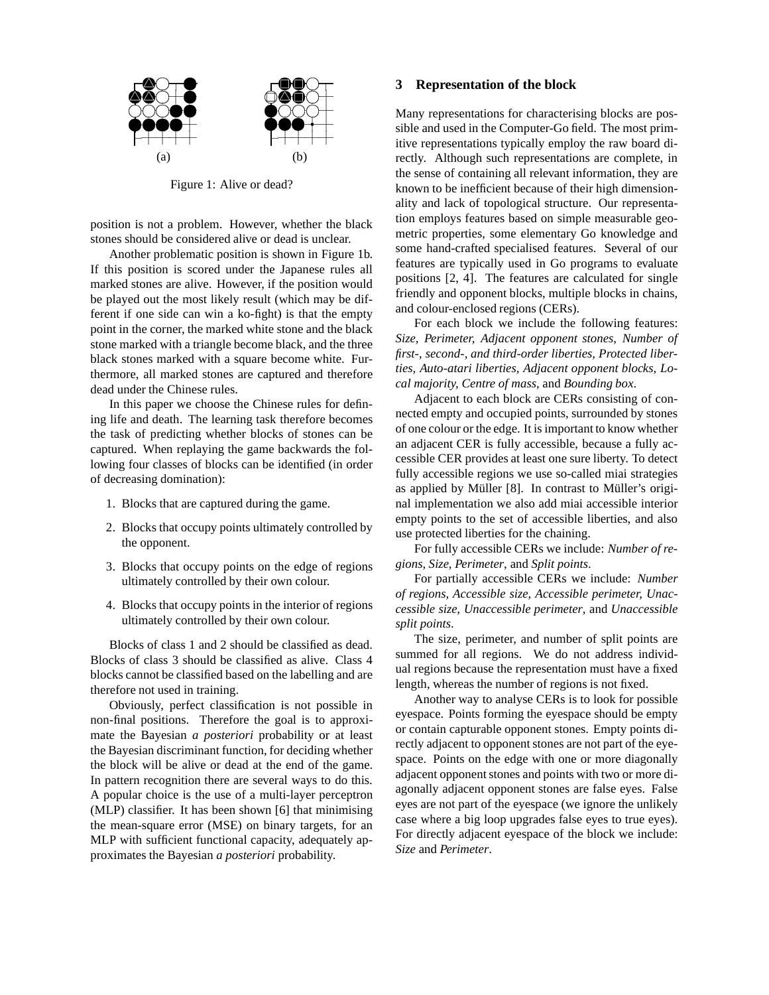

Figure 1: Alive or dead?

position is not a problem. However, whether the black stones should be considered alive or dead is unclear.

Another problematic position is shown in Figure 1b. If this position is scored under the Japanese rules all marked stones are alive. However, if the position would be played out the most likely result (which may be different if one side can win a ko-fight) is that the empty point in the corner, the marked white stone and the black stone marked with a triangle become black, and the three black stones marked with a square become white. Furthermore, all marked stones are captured and therefore dead under the Chinese rules.

In this paper we choose the Chinese rules for defining life and death. The learning task therefore becomes the task of predicting whether blocks of stones can be captured. When replaying the game backwards the following four classes of blocks can be identified (in order of decreasing domination):

- 1. Blocks that are captured during the game.
- 2. Blocks that occupy points ultimately controlled by the opponent.
- 3. Blocks that occupy points on the edge of regions ultimately controlled by their own colour.
- 4. Blocks that occupy points in the interior of regions ultimately controlled by their own colour.

Blocks of class 1 and 2 should be classified as dead. Blocks of class 3 should be classified as alive. Class 4 blocks cannot be classified based on the labelling and are therefore not used in training.

Obviously, perfect classification is not possible in non-final positions. Therefore the goal is to approximate the Bayesian *a posteriori* probability or at least the Bayesian discriminant function, for deciding whether the block will be alive or dead at the end of the game. In pattern recognition there are several ways to do this. A popular choice is the use of a multi-layer perceptron (MLP) classifier. It has been shown [6] that minimising the mean-square error (MSE) on binary targets, for an MLP with sufficient functional capacity, adequately approximates the Bayesian *a posteriori* probability.

# ! **3 Representation of the block**

 $\bullet$   $\circ$   $\circ$   $\circ$   $\circ$   $\bullet$  Many representations for characterising blocks are pos- $\bullet \bullet \bullet \bullet$  sible and used in the Computer-Go field. The most primitive representations typically employ the raw board directly. Although such representations are complete, in the sense of containing all relevant information, they are known to be inefficient because of their high dimensionality and lack of topological structure. Our representation employs features based on simple measurable geometric properties, some elementary Go knowledge and some hand-crafted specialised features. Several of our features are typically used in Go programs to evaluate positions [2, 4]. The features are calculated for single friendly and opponent blocks, multiple blocks in chains, and colour-enclosed regions (CERs).

> For each block we include the following features: *Size, Perimeter, Adjacent opponent stones, Number of first-, second-, and third-order liberties, Protected liberties, Auto-atari liberties, Adjacent opponent blocks, Local majority, Centre of mass*, and *Bounding box*.

> Adjacent to each block are CERs consisting of connected empty and occupied points, surrounded by stones of one colour or the edge. It is important to know whether an adjacent CER is fully accessible, because a fully accessible CER provides at least one sure liberty. To detect fully accessible regions we use so-called miai strategies as applied by Müller [8]. In contrast to Müller's original implementation we also add miai accessible interior empty points to the set of accessible liberties, and also use protected liberties for the chaining.

> For fully accessible CERs we include: *Number of regions, Size, Perimeter*, and *Split points*.

> For partially accessible CERs we include: *Number of regions, Accessible size, Accessible perimeter, Unaccessible size, Unaccessible perimeter*, and *Unaccessible split points*.

> The size, perimeter, and number of split points are summed for all regions. We do not address individual regions because the representation must have a fixed length, whereas the number of regions is not fixed.

> Another way to analyse CERs is to look for possible eyespace. Points forming the eyespace should be empty or contain capturable opponent stones. Empty points directly adjacent to opponent stones are not part of the eyespace. Points on the edge with one or more diagonally adjacent opponent stones and points with two or more diagonally adjacent opponent stones are false eyes. False eyes are not part of the eyespace (we ignore the unlikely case where a big loop upgrades false eyes to true eyes). For directly adjacent eyespace of the block we include: *Size* and *Perimeter*.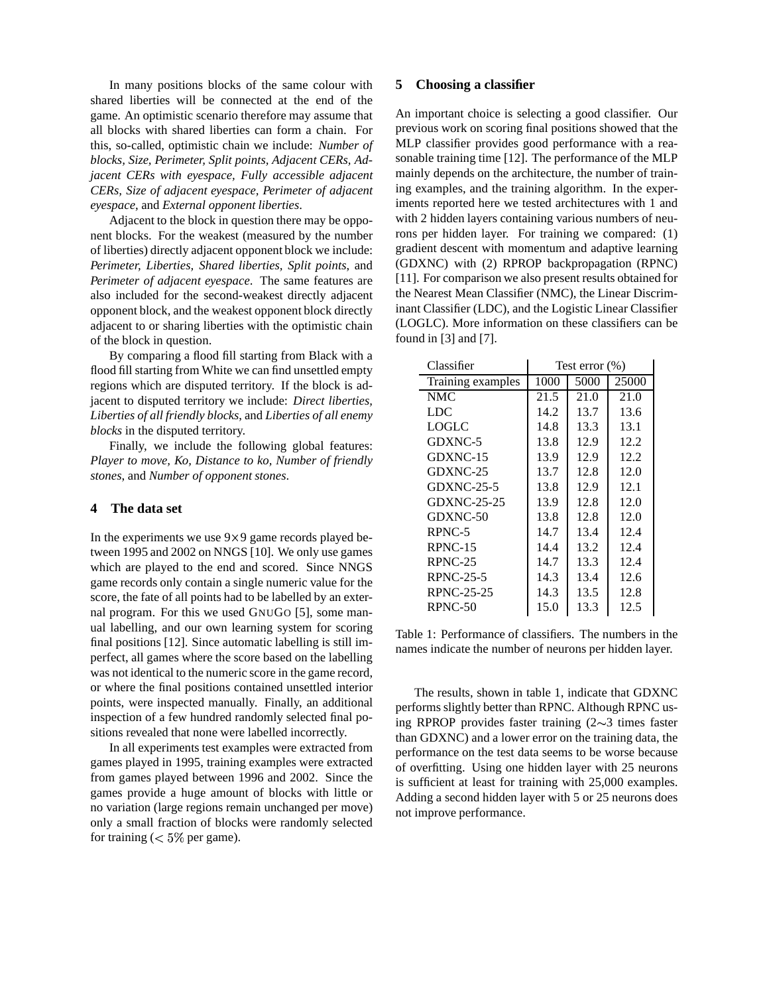In many positions blocks of the same colour with shared liberties will be connected at the end of the game. An optimistic scenario therefore may assume that all blocks with shared liberties can form a chain. For this, so-called, optimistic chain we include: *Number of blocks, Size, Perimeter, Split points, Adjacent CERs, Adjacent CERs with eyespace, Fully accessible adjacent CERs, Size of adjacent eyespace, Perimeter of adjacent eyespace*, and *External opponent liberties*.

Adjacent to the block in question there may be opponent blocks. For the weakest (measured by the number of liberties) directly adjacent opponent block we include: *Perimeter, Liberties, Shared liberties, Split points*, and *Perimeter of adjacent eyespace*. The same features are also included for the second-weakest directly adjacent opponent block, and the weakest opponent block directly adjacent to or sharing liberties with the optimistic chain of the block in question.

By comparing a flood fill starting from Black with a flood fill starting from White we can find unsettled empty regions which are disputed territory. If the block is adjacent to disputed territory we include: *Direct liberties, Liberties of all friendly blocks*, and *Liberties of all enemy blocks* in the disputed territory.

Finally, we include the following global features: *Player to move, Ko, Distance to ko, Number of friendly stones*, and *Number of opponent stones*.

#### **4 The data set**

In the experiments we use  $9 \times 9$  game records played between 1995 and 2002 on NNGS [10]. We only use games which are played to the end and scored. Since NNGS game records only contain a single numeric value for the score, the fate of all points had to be labelled by an external program. For this we used GNUGO [5], some manual labelling, and our own learning system for scoring final positions [12]. Since automatic labelling is still imperfect, all games where the score based on the labelling was not identical to the numeric score in the game record, or where the final positions contained unsettled interior points, were inspected manually. Finally, an additional inspection of a few hundred randomly selected final positions revealed that none were labelled incorrectly.

In all experiments test examples were extracted from games played in 1995, training examples were extracted from games played between 1996 and 2002. Since the games provide a huge amount of blocks with little or no variation (large regions remain unchanged per move) only a small fraction of blocks were randomly selected for training  $(< 5\%$  per game).

#### **5 Choosing a classifier**

An important choice is selecting a good classifier. Our previous work on scoring final positions showed that the MLP classifier provides good performance with a reasonable training time [12]. The performance of the MLP mainly depends on the architecture, the number of training examples, and the training algorithm. In the experiments reported here we tested architectures with 1 and with 2 hidden layers containing various numbers of neurons per hidden layer. For training we compared: (1) gradient descent with momentum and adaptive learning (GDXNC) with (2) RPROP backpropagation (RPNC) [11]. For comparison we also present results obtained for the Nearest Mean Classifier (NMC), the Linear Discriminant Classifier (LDC), and the Logistic Linear Classifier (LOGLC). More information on these classifiers can be found in [3] and [7].

| Classifier        | Test error $(\% )$ |      |       |
|-------------------|--------------------|------|-------|
| Training examples | 1000               | 5000 | 25000 |
| NMC               | 21.5               | 21.0 | 21.0  |
| LDC               | 14.2               | 13.7 | 13.6  |
| LOGLC             | 14.8               | 13.3 | 13.1  |
| GDXNC-5           | 13.8               | 12.9 | 12.2  |
| GDXNC-15          | 13.9               | 12.9 | 12.2  |
| GDXNC-25          | 13.7               | 12.8 | 12.0  |
| <b>GDXNC-25-5</b> | 13.8               | 12.9 | 12.1  |
| GDXNC-25-25       | 13.9               | 12.8 | 12.0  |
| GDXNC-50          | 13.8               | 12.8 | 12.0  |
| RPNC-5            | 14.7               | 13.4 | 12.4  |
| RPNC-15           | 14.4               | 13.2 | 12.4  |
| RPNC-25           | 14.7               | 13.3 | 12.4  |
| $RPNC-25-5$       | 14.3               | 13.4 | 12.6  |
| RPNC-25-25        | 14.3               | 13.5 | 12.8  |
| RPNC-50           | 15.0               | 13.3 | 12.5  |

Table 1: Performance of classifiers. The numbers in the names indicate the number of neurons per hidden layer.

The results, shown in table 1, indicate that GDXNC performs slightly better than RPNC. Although RPNC using RPROP provides faster training  $(2\sim)3$  times faster than GDXNC) and a lower error on the training data, the performance on the test data seems to be worse because of overfitting. Using one hidden layer with 25 neurons is sufficient at least for training with 25,000 examples. Adding a second hidden layer with 5 or 25 neurons does not improve performance.